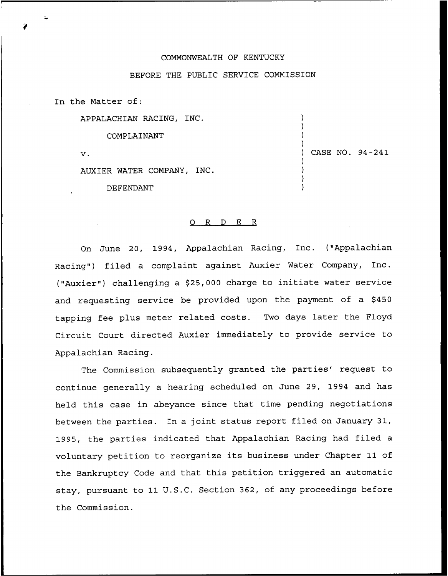## COMMONWEALTH OF KENTUCKY

## BEFORE THE PUBLIC SERVICE COMMISSION

In the Matter of:

APPALACHIAN RACING, INC.

COMPLAINANT

 $\mathbf v$ .

AUXIER WATER COMPANY, INC.

DEFENDANT

## ) CASE NO. 94-241

) ) ) )

) ) ) )

## 0 R <sup>D</sup> E R

On June 20, 1994, Appalachian Racing, Inc. ("Appalachian Racing") filed a complaint against Auxier Water Company, Inc. ("Auxier") challenging a \$25,000 charge to initiate water service and requesting service be provided upon the payment of a \$450 tapping fee plus meter related costs. Two days later the Floyd Circuit Court directed Auxier immediately to provide service to Appalachian Racing.

The Commission subsequently granted the parties' request to continue generally a hearing scheduled on June 29, 1994 and has held this case in abeyance since that time pending negotiations between the parties. In a joint status report filed on January 31, 1995, the parties indicated that Appalachian Racing had filed a voluntary petition to reorganize its business under Chapter 11 of the Bankruptcy Code and that this petition triggered an automatic stay, pursuant to 11 U.S.C. Section 362, of any proceedings before the Commission.